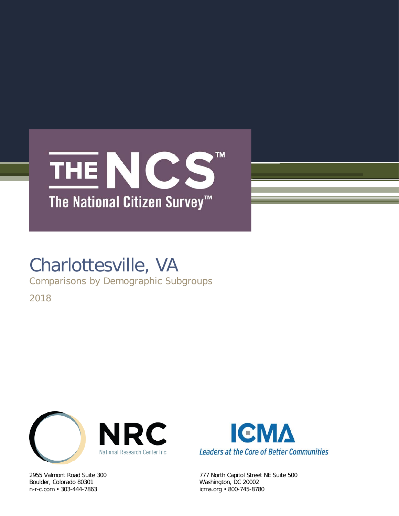

# Charlottesville, VA

Comparisons by Demographic Subgroups

2018



Boulder, Colorado 80301 Washington, DC 20002



2955 Valmont Road Suite 300 777 North Capitol Street NE Suite 500 icma.org • 800-745-8780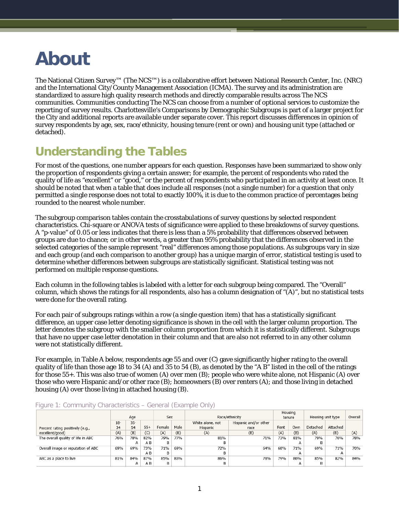# **About**

The National Citizen Survey™ (The NCS™) is a collaborative effort between National Research Center, Inc. (NRC) and the International City/County Management Association (ICMA). The survey and its administration are standardized to assure high quality research methods and directly comparable results across The NCS communities. Communities conducting The NCS can choose from a number of optional services to customize the reporting of survey results. Charlottesville's Comparisons by Demographic Subgroups is part of a larger project for the City and additional reports are available under separate cover. This report discusses differences in opinion of survey respondents by age, sex, race/ethnicity, housing tenure (rent or own) and housing unit type (attached or detached).

# **Understanding the Tables**

For most of the questions, one number appears for each question. Responses have been summarized to show only the proportion of respondents giving a certain answer; for example, the percent of respondents who rated the quality of life as "excellent" or "good," or the percent of respondents who participated in an activity at least once. It should be noted that when a table that does include all responses (not a single number) for a question that only permitted a single response does not total to exactly 100%, it is due to the common practice of percentages being rounded to the nearest whole number.

The subgroup comparison tables contain the crosstabulations of survey questions by selected respondent characteristics. Chi-square or ANOVA tests of significance were applied to these breakdowns of survey questions. A "p-value" of 0.05 or less indicates that there is less than a 5% probability that differences observed between groups are due to chance; or in other words, a greater than 95% probability that the differences observed in the selected categories of the sample represent "real" differences among those populations. As subgroups vary in size and each group (and each comparison to another group) has a unique margin of error, statistical testing is used to determine whether differences between subgroups are statistically significant. Statistical testing was not performed on multiple response questions.

Each column in the following tables is labeled with a letter for each subgroup being compared. The "Overall" column, which shows the ratings for all respondents, also has a column designation of "(A)", but no statistical tests were done for the overall rating.

For each pair of subgroups ratings within a row (a single question item) that has a statistically significant difference, an upper case letter denoting significance is shown in the cell with the larger column proportion. The letter denotes the subgroup with the smaller column proportion from which it is statistically different. Subgroups that have no upper case letter denotation in their column and that are also not referred to in any other column were not statistically different.

For example, in Table A below, respondents age 55 and over (C) gave significantly higher rating to the overall quality of life than those age 18 to 34 (A) and 35 to 54 (B), as denoted by the "A B" listed in the cell of the ratings for those 55+. This was also true of women (A) over men (B); people who were white alone, not Hispanic (A) over those who were Hispanic and/or other race (B); homeowners (B) over renters (A); and those living in detached housing (A) over those living in attached housing (B).

|                                    |       |        |       |        |      |                  |                       |      | Housing |                   |          |         |
|------------------------------------|-------|--------|-------|--------|------|------------------|-----------------------|------|---------|-------------------|----------|---------|
|                                    |       | Age    |       | Sex    |      |                  | Race/ethnicity        |      | tenure  | Housing unit type |          | Overall |
|                                    | $18-$ | $35 -$ |       |        |      | White alone, not | Hispanic and/or other |      |         |                   |          |         |
| Percent rating positively (e.g.,   | 34    | 54     | $55+$ | Female | Male | Hispanic         | race                  | Rent | Own     | Detached          | Attached |         |
| excellent/good)                    | (A)   | (B)    | (C)   | (A)    | (B)  | (A)              | (B)                   | (A)  | (B)     | (A)               | (B)      | (A)     |
| The overall quality of life in ABC | 76%   | 78%    | 82%   | 79%    | 77%  | 81%              | 71%                   | 73%  | 81%     | 79%               | 76%      | 78%     |
|                                    |       | А      | A B   | в      |      |                  |                       |      | А       |                   |          |         |
| Overall image or reputation of ABC | 69%   | 69%    | 73%   | 71%    | 69%  | 72%              | 64%                   | 68%  | 71%     | 69%               | 71%      | 70%     |
|                                    |       |        | A B   | B      |      | R                |                       |      | А       |                   | А        |         |
| ABC as a place to live             | 81%   | 84%    | 87%   | 85%    | 83%  | 86%              | 78%                   | 79%  | 86%     | 85%               | 82%      | 84%     |
|                                    |       | А      | A B   | В      |      | B                |                       |      | А       |                   |          |         |

#### Figure 1: Community Characteristics – General (Example Only)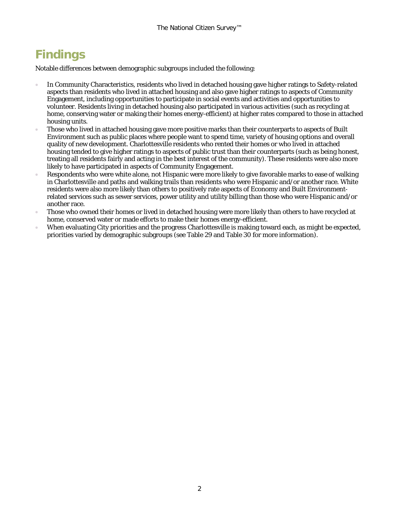# **Findings**

Notable differences between demographic subgroups included the following:

- In Community Characteristics, residents who lived in detached housing gave higher ratings to Safety-related aspects than residents who lived in attached housing and also gave higher ratings to aspects of Community Engagement, including opportunities to participate in social events and activities and opportunities to volunteer. Residents living in detached housing also participated in various activities (such as recycling at home, conserving water or making their homes energy-efficient) at higher rates compared to those in attached housing units.
- Those who lived in attached housing gave more positive marks than their counterparts to aspects of Built Environment such as public places where people want to spend time, variety of housing options and overall quality of new development. Charlottesville residents who rented their homes or who lived in attached housing tended to give higher ratings to aspects of public trust than their counterparts (such as being honest, treating all residents fairly and acting in the best interest of the community). These residents were also more likely to have participated in aspects of Community Engagement.
- Respondents who were white alone, not Hispanic were more likely to give favorable marks to ease of walking in Charlottesville and paths and walking trails than residents who were Hispanic and/or another race. White residents were also more likely than others to positively rate aspects of Economy and Built Environmentrelated services such as sewer services, power utility and utility billing than those who were Hispanic and/or another race.
- Those who owned their homes or lived in detached housing were more likely than others to have recycled at home, conserved water or made efforts to make their homes energy-efficient.
- When evaluating City priorities and the progress Charlottesville is making toward each, as might be expected, priorities varied by demographic subgroups (see [Table 29](#page-15-0) and [Table 30](#page-16-0) for more information).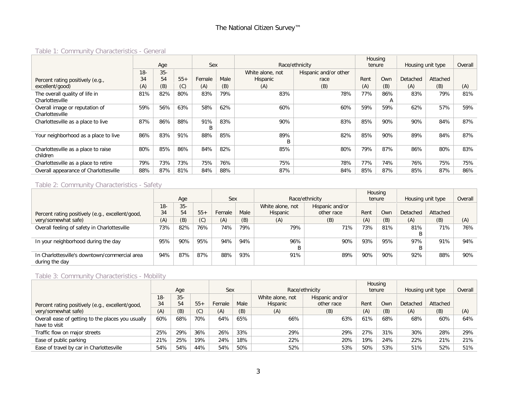# Table 1: Community Characteristics - General

|                                                   |        |       |       |          |      |                  |                       |      | Housing  |                   |          |         |
|---------------------------------------------------|--------|-------|-------|----------|------|------------------|-----------------------|------|----------|-------------------|----------|---------|
|                                                   |        | Age   |       | Sex      |      |                  | Race/ethnicity        |      | tenure   | Housing unit type |          | Overall |
|                                                   | $18 -$ | $35-$ |       |          |      | White alone, not | Hispanic and/or other |      |          |                   |          |         |
| Percent rating positively (e.g.,                  | 34     | 54    | $55+$ | Female   | Male | Hispanic         | race                  | Rent | Own      | Detached          | Attached |         |
| excellent/good)                                   | (A)    | (B)   | (C)   | (A)      | (B)  | (A)              | (B)                   | (A)  | (B)      | (A)               | (B)      | (A)     |
| The overall quality of life in<br>Charlottesville | 81%    | 82%   | 80%   | 83%      | 79%  | 83%              | 78%                   | 77%  | 86%<br>A | 83%               | 79%      | 81%     |
| Overall image or reputation of<br>Charlottesville | 59%    | 56%   | 63%   | 58%      | 62%  | 60%              | 60%                   | 59%  | 59%      | 62%               | 57%      | 59%     |
| Charlottesville as a place to live                | 87%    | 86%   | 88%   | 91%<br>B | 83%  | 90%              | 83%                   | 85%  | 90%      | 90%               | 84%      | 87%     |
| Your neighborhood as a place to live              | 86%    | 83%   | 91%   | 88%      | 85%  | 89%<br>B         | 82%                   | 85%  | 90%      | 89%               | 84%      | 87%     |
| Charlottesville as a place to raise<br>children   | 80%    | 85%   | 86%   | 84%      | 82%  | 85%              | 80%                   | 79%  | 87%      | 86%               | 80%      | 83%     |
| Charlottesville as a place to retire              | 79%    | 73%   | 73%   | 75%      | 76%  | 75%              | 78%                   | 77%  | 74%      | 76%               | 75%      | 75%     |
| Overall appearance of Charlottesville             | 88%    | 87%   | 81%   | 84%      | 88%  | 87%              | 84%                   | 85%  | 87%      | 85%               | 87%      | 86%     |

# Table 2: Community Characteristics - Safety

|                                                  |       |        |       |        |      |                  |                 |      | Housing |                   |          |         |
|--------------------------------------------------|-------|--------|-------|--------|------|------------------|-----------------|------|---------|-------------------|----------|---------|
|                                                  |       | Age    |       | Sex    |      |                  | Race/ethnicity  |      | tenure  | Housing unit type |          | Overall |
|                                                  | $18-$ | $35 -$ |       |        |      | White alone, not | Hispanic and/or |      |         |                   |          |         |
| Percent rating positively (e.g., excellent/good, | 34    | 54     | $55+$ | Female | Male | Hispanic         | other race      | Rent | Own     | <b>Detached</b>   | Attached |         |
| very/somewhat safe)                              | (A)   | (B)    | (C)   | (A)    | (B)  | (A)              | (B)             | (A)  | (B)     | (A)               | (B)      | (A)     |
| Overall feeling of safety in Charlottesville     | 73%   | 82%    | 76%   | 74%    | 79%  | 79%              | 71%             | 73%  | 81%     | 81%               | 71%      | 76%     |
|                                                  |       |        |       |        |      |                  |                 |      |         |                   |          |         |
| In your neighborhood during the day              | 95%   | 90%    | 95%   | 94%    | 94%  | 96%              | 90%             | 93%  | 95%     | 97%               | 91%      | 94%     |
|                                                  |       |        |       |        |      |                  |                 |      |         |                   |          |         |
| In Charlottesville's downtown/commercial area    | 94%   | 87%    | 87%   | 88%    | 93%  | 91%              | 89%             | 90%  | 90%     | 92%               | 88%      | 90%     |
| during the day                                   |       |        |       |        |      |                  |                 |      |         |                   |          |         |

# Table 3: Community Characteristics - Mobility

|                                                                    |        |       |       |        |      |                  |                 |      | Housing |                   |          |         |
|--------------------------------------------------------------------|--------|-------|-------|--------|------|------------------|-----------------|------|---------|-------------------|----------|---------|
|                                                                    |        | Age   |       | Sex    |      |                  | Race/ethnicity  |      | tenure  | Housing unit type |          | Overall |
|                                                                    | $18 -$ | $35-$ |       |        |      | White alone, not | Hispanic and/or |      |         |                   |          |         |
| Percent rating positively (e.g., excellent/good,                   | 34     | 54    | $55+$ | Female | Male | Hispanic         | other race      | Rent | Own     | Detached          | Attached |         |
| very/somewhat safe)                                                | (A)    | (B)   | (C)   | (A)    | (B)  | (A)              | (B)             | (A)  | (B)     | (A)               | (B)      | (A)     |
| Overall ease of getting to the places you usually<br>have to visit | 60%    | 68%   | 70%   | 64%    | 65%  | 66%              | 63%             | 61%  | 68%     | 68%               | 60%      | 64%     |
| Traffic flow on major streets                                      | 25%    | 29%   | 36%   | 26%    | 33%  | 29%              | 29%             | 27%  | 31%     | 30%               | 28%      | 29%     |
| Ease of public parking                                             | 21%    | 25%   | 19%   | 24%    | 18%  | 22%              | 20%             | 19%  | 24%     | 22%               | 21%      | 21%     |
| Ease of travel by car in Charlottesville                           | 54%    | 54%   | 44%   | 54%    | 50%  | 52%              | 53%             | 50%  | 53%     | 51%               | 52%      | 51%     |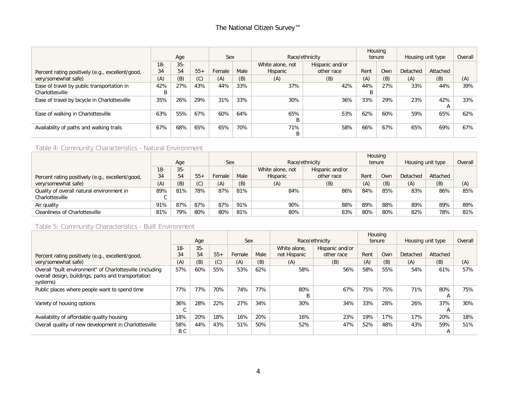|                                                  |       |        |       |            |      |                  |                 |        | Housing |                   |          |         |
|--------------------------------------------------|-------|--------|-------|------------|------|------------------|-----------------|--------|---------|-------------------|----------|---------|
|                                                  |       | Age    |       | <b>Sex</b> |      |                  | Race/ethnicity  | tenure |         | Housing unit type |          | Overall |
|                                                  | $18-$ | $35 -$ |       |            |      | White alone, not | Hispanic and/or |        |         |                   |          |         |
| Percent rating positively (e.g., excellent/good, | 34    | 54     | $55+$ | Female     | Male | Hispanic         | other race      | Rent   | Own     | Detached          | Attached |         |
| very/somewhat safe)                              | (A)   | (B)    | (C)   | (A)        | (B)  | (A)              | (B)             | (A)    | (B)     | (A)               | (B)      | (A)     |
| Ease of travel by public transportation in       | 42%   | 27%    | 43%   | 44%        | 33%  | 37%              | 42%             | 44%    | 27%     | 33%               | 44%      | 39%     |
| Charlottesville                                  |       |        |       |            |      |                  |                 |        |         |                   |          |         |
| Ease of travel by bicycle in Charlottesville     | 35%   | 26%    | 29%   | 31%        | 33%  | 30%              | 36%             | 33%    | 29%     | 23%               | 42%      | 33%     |
|                                                  |       |        |       |            |      |                  |                 |        |         |                   | A        |         |
| Ease of walking in Charlottesville               | 63%   | 55%    | 67%   | 60%        | 64%  | 65%              | 53%             | 62%    | 60%     | 59%               | 65%      | 62%     |
|                                                  |       |        |       |            |      | B                |                 |        |         |                   |          |         |
| Availability of paths and walking trails         | 67%   | 68%    | 65%   | 65%        | 70%  | 71%              | 58%             | 66%    | 67%     | 65%               | 69%      | 67%     |
|                                                  |       |        |       |            |      | B                |                 |        |         |                   |          |         |

#### Table 4: Community Characteristics - Natural Environment

|                                                  |       |       |       |        |      |                  |                 |      | Housing    |                   |          |         |
|--------------------------------------------------|-------|-------|-------|--------|------|------------------|-----------------|------|------------|-------------------|----------|---------|
|                                                  |       | Age   |       | Sex    |      |                  | Race/ethnicity  |      | tenure     | Housing unit type |          | Overall |
|                                                  | $18-$ | $35-$ |       |        |      | White alone, not | Hispanic and/or |      |            |                   |          |         |
| Percent rating positively (e.g., excellent/good, | 34    | 54    | $55+$ | Female | Male | Hispanic         | other race      | Rent | <b>Own</b> | Detached          | Attached |         |
| very/somewhat safe)                              | (A)   | (B)   | (C)   | (A)    | (B)  | (A)              | (B)             | (A)  | (B)        | (A)               | (B)      | (A)     |
| Quality of overall natural environment in        | 89%   | 81%   | 78%   | 87%    | 81%  | 84%              | 86%             | 84%  | 85%        | 83%               | 86%      | 85%     |
| Charlottesville                                  |       |       |       |        |      |                  |                 |      |            |                   |          |         |
| Air quality                                      | 91%   | 87%   | 87%   | 87%    | 91%  | 90%              | 88%             | 89%  | 88%        | 89%               | 89%      | 89%     |
| Cleanliness of Charlottesville                   | 81%   | 79%   | 80%   | 80%    | 81%  | 80%              | 83%             | 80%  | 80%        | 82%               | 78%      | 81%     |

#### Table 5: Community Characteristics - Built Environment

|                                                                                                                              |            |        |       |        |      |              |                 | Housing |        |                   |          |         |
|------------------------------------------------------------------------------------------------------------------------------|------------|--------|-------|--------|------|--------------|-----------------|---------|--------|-------------------|----------|---------|
|                                                                                                                              |            | Age    |       | Sex    |      |              | Race/ethnicity  |         | tenure | Housing unit type |          | Overall |
|                                                                                                                              | $18-$      | $35 -$ |       |        |      | White alone. | Hispanic and/or |         |        |                   |          |         |
| Percent rating positively (e.g., excellent/good,                                                                             | 34         | 54     | $55+$ | Female | Male | not Hispanic | other race      | Rent    | Own    | Detached          | Attached |         |
| very/somewhat safe)                                                                                                          | (A)        | (B)    | (C)   | (A)    | (B)  | (A)          | (B)             | (A)     | (B)    | (A)               | (B)      | (A)     |
| Overall "built environment" of Charlottesville (including<br>overall design, buildings, parks and transportation<br>systems) | 57%        | 60%    | 55%   | 53%    | 62%  | 58%          | 56%             | 58%     | 55%    | 54%               | 61%      | 57%     |
| Public places where people want to spend time                                                                                | 77%        | 77%    | 70%   | 74%    | 77%  | 80%<br>B     | 67%             | 75%     | 75%    | 71%               | 80%<br>A | 75%     |
| Variety of housing options                                                                                                   | 36%        | 28%    | 22%   | 27%    | 34%  | 30%          | 34%             | 33%     | 28%    | 26%               | 37%<br>A | 30%     |
| Availability of affordable quality housing                                                                                   | 18%        | 20%    | 18%   | 16%    | 20%  | 16%          | 23%             | 19%     | 17%    | 17%               | 20%      | 18%     |
| Overall quality of new development in Charlottesville                                                                        | 58%<br>B C | 44%    | 43%   | 51%    | 50%  | 52%          | 47%             | 52%     | 48%    | 43%               | 59%<br>A | 51%     |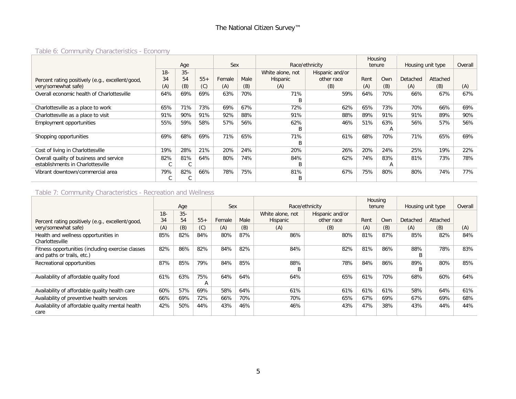# Table 6: Community Characteristics - Economy

|                                                  |       |        |       |        |      |                  |                 |      | Housing |                   |          |         |
|--------------------------------------------------|-------|--------|-------|--------|------|------------------|-----------------|------|---------|-------------------|----------|---------|
|                                                  |       | Age    |       | Sex    |      |                  | Race/ethnicity  |      | tenure  | Housing unit type |          | Overall |
|                                                  | $18-$ | $35 -$ |       |        |      | White alone, not | Hispanic and/or |      |         |                   |          |         |
| Percent rating positively (e.g., excellent/good, | 34    | 54     | $55+$ | Female | Male | Hispanic         | other race      | Rent | Own     | Detached          | Attached |         |
| very/somewhat safe)                              | (A)   | (B)    | (C)   | (A)    | (B)  | (A)              | (B)             | (A)  | (B)     | (A)               | (B)      | (A)     |
| Overall economic health of Charlottesville       | 64%   | 69%    | 69%   | 63%    | 70%  | 71%              | 59%             | 64%  | 70%     | 66%               | 67%      | 67%     |
|                                                  |       |        |       |        |      | R                |                 |      |         |                   |          |         |
| Charlottesville as a place to work               | 65%   | 71%    | 73%   | 69%    | 67%  | 72%              | 62%             | 65%  | 73%     | 70%               | 66%      | 69%     |
| Charlottesville as a place to visit              | 91%   | 90%    | 91%   | 92%    | 88%  | 91%              | 88%             | 89%  | 91%     | 91%               | 89%      | 90%     |
| <b>Employment opportunities</b>                  | 55%   | 59%    | 58%   | 57%    | 56%  | 62%              | 46%             | 51%  | 63%     | 56%               | 57%      | 56%     |
|                                                  |       |        |       |        |      | B                |                 |      | А       |                   |          |         |
| Shopping opportunities                           | 69%   | 68%    | 69%   | 71%    | 65%  | 71%              | 61%             | 68%  | 70%     | 71%               | 65%      | 69%     |
|                                                  |       |        |       |        |      | B                |                 |      |         |                   |          |         |
| Cost of living in Charlottesville                | 19%   | 28%    | 21%   | 20%    | 24%  | 20%              | 26%             | 20%  | 24%     | 25%               | 19%      | 22%     |
| Overall quality of business and service          | 82%   | 81%    | 64%   | 80%    | 74%  | 84%              | 62%             | 74%  | 83%     | 81%               | 73%      | 78%     |
| establishments in Charlottesville                | U     | C      |       |        |      | B                |                 |      | A       |                   |          |         |
| Vibrant downtown/commercial area                 | 79%   | 82%    | 66%   | 78%    | 75%  | 81%              | 67%             | 75%  | 80%     | 80%               | 74%      | 77%     |
|                                                  | ◡     | U      |       |        |      | B                |                 |      |         |                   |          |         |

#### Table 7: Community Characteristics - Recreation and Wellness

|                                                                                 |             | Age          |          | Sex    |      |                              | Race/ethnicity                |      | Housing<br>tenure | Housing unit type |          | Overall |
|---------------------------------------------------------------------------------|-------------|--------------|----------|--------|------|------------------------------|-------------------------------|------|-------------------|-------------------|----------|---------|
| Percent rating positively (e.g., excellent/good,                                | $18-$<br>34 | $35 -$<br>54 | $55+$    | Female | Male | White alone, not<br>Hispanic | Hispanic and/or<br>other race | Rent | Own               | Detached          | Attached |         |
| very/somewhat safe)                                                             | (A)         | (B)          | (C)      | (A)    | (B)  | (A)                          | (B)                           | (A)  | (B)               | (A)               | (B)      | (A)     |
| Health and wellness opportunities in<br>Charlottesville                         | 85%         | 82%          | 84%      | 80%    | 87%  | 86%                          | 80%                           | 81%  | 87%               | 85%               | 82%      | 84%     |
| Fitness opportunities (including exercise classes<br>and paths or trails, etc.) | 82%         | 86%          | 82%      | 84%    | 82%  | 84%                          | 82%                           | 81%  | 86%               | 88%<br>B          | 78%      | 83%     |
| Recreational opportunities                                                      | 87%         | 85%          | 79%      | 84%    | 85%  | 88%<br>R                     | 78%                           | 84%  | 86%               | 89%<br>B          | 80%      | 85%     |
| Availability of affordable quality food                                         | 61%         | 63%          | 75%<br>А | 64%    | 64%  | 64%                          | 65%                           | 61%  | 70%               | 68%               | 60%      | 64%     |
| Availability of affordable quality health care                                  | 60%         | 57%          | 69%      | 58%    | 64%  | 61%                          | 61%                           | 61%  | 61%               | 58%               | 64%      | 61%     |
| Availability of preventive health services                                      | 66%         | 69%          | 72%      | 66%    | 70%  | 70%                          | 65%                           | 67%  | 69%               | 67%               | 69%      | 68%     |
| Availability of affordable quality mental health<br>care                        | 42%         | 50%          | 44%      | 43%    | 46%  | 46%                          | 43%                           | 47%  | 38%               | 43%               | 44%      | 44%     |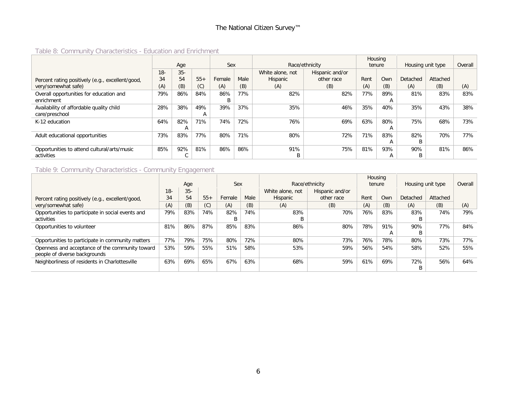# Table 8: Community Characteristics - Education and Enrichment

|                                                  |        | Age    |              | Sex    |      | Race/ethnicity   |                 | Housing<br>tenure |     | Housing unit type |          | Overall |
|--------------------------------------------------|--------|--------|--------------|--------|------|------------------|-----------------|-------------------|-----|-------------------|----------|---------|
|                                                  | $18 -$ | $35 -$ |              |        |      | White alone, not | Hispanic and/or |                   |     |                   |          |         |
| Percent rating positively (e.g., excellent/good, | 34     | 54     | $55+$        | Female | Male | Hispanic         | other race      | Rent              | Own | Detached          | Attached |         |
| very/somewhat safe)                              | (A)    | (B)    | (C)          | (A)    | (B)  | (A)              | (B)             | (A)               | (B) | (A)               | (B)      | (A)     |
| Overall opportunities for education and          | 79%    | 86%    | 84%          | 86%    | 77%  | 82%              | 82%             | 77%               | 89% | 81%               | 83%      | 83%     |
| enrichment                                       |        |        |              | B      |      |                  |                 |                   | А   |                   |          |         |
| Availability of affordable quality child         | 28%    | 38%    | 49%          | 39%    | 37%  | 35%              | 46%             | 35%               | 40% | 35%               | 43%      | 38%     |
| care/preschool                                   |        |        | $\mathsf{A}$ |        |      |                  |                 |                   |     |                   |          |         |
| K-12 education                                   | 64%    | 82%    | 71%          | 74%    | 72%  | 76%              | 69%             | 63%               | 80% | 75%               | 68%      | 73%     |
|                                                  |        |        |              |        |      |                  |                 |                   | А   |                   |          |         |
| Adult educational opportunities                  | 73%    | 83%    | 77%          | 80%    | 71%  | 80%              | 72%             | 71%               | 83% | 82%               | 70%      | 77%     |
|                                                  |        |        |              |        |      |                  |                 |                   | A   | B                 |          |         |
| Opportunities to attend cultural/arts/music      | 85%    | 92%    | 81%          | 86%    | 86%  | 91%              | 75%             | 81%               | 93% | 90%               | 81%      | 86%     |
| activities                                       |        |        |              |        |      | B                |                 |                   | A   | B                 |          |         |

#### Table 9: Community Characteristics - Community Engagement

|                                                   |        |       |       |        |      |                  |                 |      | Housing |                   |          |         |
|---------------------------------------------------|--------|-------|-------|--------|------|------------------|-----------------|------|---------|-------------------|----------|---------|
|                                                   |        | Age   |       | Sex    |      |                  | Race/ethnicity  |      | tenure  | Housing unit type |          | Overall |
|                                                   | $18 -$ | $35-$ |       |        |      | White alone, not | Hispanic and/or |      |         |                   |          |         |
| Percent rating positively (e.g., excellent/good,  | 34     | 54    | $55+$ | Female | Male | Hispanic         | other race      | Rent | Own     | Detached          | Attached |         |
| very/somewhat safe)                               | (A)    | (B)   | (C)   | (A)    | (B)  | (A)              | (B)             | (A)  | (B)     | (A)               | (B)      | (A)     |
| Opportunities to participate in social events and | 79%    | 83%   | 74%   | 82%    | 74%  | 83%              | 70%             | 76%  | 83%     | 83%               | 74%      | 79%     |
| activities                                        |        |       |       | B      |      | В                |                 |      |         | B                 |          |         |
| Opportunities to volunteer                        | 81%    | 86%   | 87%   | 85%    | 83%  | 86%              | 80%             | 78%  | 91%     | 90%               | 77%      | 84%     |
|                                                   |        |       |       |        |      |                  |                 |      | A       | B                 |          |         |
| Opportunities to participate in community matters | 77%    | 79%   | 75%   | 80%    | 72%  | 80%              | 73%             | 76%  | 78%     | 80%               | 73%      | 77%     |
| Openness and acceptance of the community toward   | 53%    | 59%   | 55%   | 51%    | 58%  | 53%              | 59%             | 56%  | 54%     | 58%               | 52%      | 55%     |
| people of diverse backgrounds                     |        |       |       |        |      |                  |                 |      |         |                   |          |         |
| Neighborliness of residents in Charlottesville    | 63%    | 69%   | 65%   | 67%    | 63%  | 68%              | 59%             | 61%  | 69%     | 72%               | 56%      | 64%     |
|                                                   |        |       |       |        |      |                  |                 |      |         | В                 |          |         |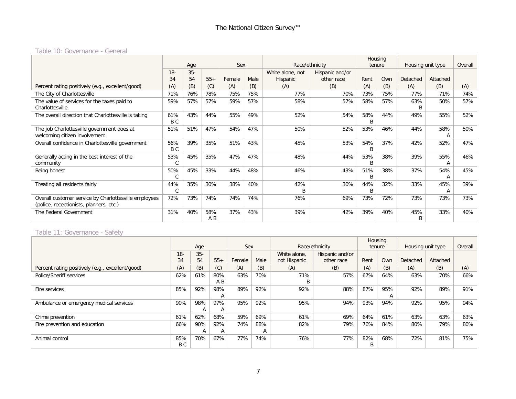#### Table 10: Governance - General

|                                                       | Age            |        |       |        |      |                  |                 | Housing |     |                   |          |         |
|-------------------------------------------------------|----------------|--------|-------|--------|------|------------------|-----------------|---------|-----|-------------------|----------|---------|
|                                                       |                |        |       | Sex    |      |                  | Race/ethnicity  | tenure  |     | Housing unit type |          | Overall |
|                                                       | $18 -$         | $35 -$ |       |        |      | White alone, not | Hispanic and/or |         |     |                   |          |         |
|                                                       | 34             | 54     | $55+$ | Female | Male | Hispanic         | other race      | Rent    | Own | Detached          | Attached |         |
| Percent rating positively (e.g., excellent/good)      | (A)            | (B)    | (C)   | (A)    | (B)  | (A)              | (B)             | (A)     | (B) | (A)               | (B)      | (A)     |
| The City of Charlottesville                           | 71%            | 76%    | 78%   | 75%    | 75%  | 77%              | 70%             | 73%     | 75% | 77%               | 71%      | 74%     |
| The value of services for the taxes paid to           | 59%            | 57%    | 57%   | 59%    | 57%  | 58%              | 57%             | 58%     | 57% | 63%               | 50%      | 57%     |
| Charlottesville                                       |                |        |       |        |      |                  |                 |         |     | B                 |          |         |
| The overall direction that Charlottesville is taking  | 61%            | 43%    | 44%   | 55%    | 49%  | 52%              | 54%             | 58%     | 44% | 49%               | 55%      | 52%     |
|                                                       | B C            |        |       |        |      |                  |                 | B       |     |                   |          |         |
| The job Charlottesville government does at            | 51%            | 51%    | 47%   | 54%    | 47%  | 50%              | 52%             | 53%     | 46% | 44%               | 58%      | 50%     |
| welcoming citizen involvement                         |                |        |       |        |      |                  |                 |         |     |                   | A        |         |
| Overall confidence in Charlottesville government      | 56%            | 39%    | 35%   | 51%    | 43%  | 45%              | 53%             | 54%     | 37% | 42%               | 52%      | 47%     |
|                                                       | B <sub>C</sub> |        |       |        |      |                  |                 | B       |     |                   |          |         |
| Generally acting in the best interest of the          | 53%            | 45%    | 35%   | 47%    | 47%  | 48%              | 44%             | 53%     | 38% | 39%               | 55%      | 46%     |
| community                                             |                |        |       |        |      |                  |                 | B       |     |                   | A        |         |
| Being honest                                          | 50%            | 45%    | 33%   | 44%    | 48%  | 46%              | 43%             | 51%     | 38% | 37%               | 54%      | 45%     |
|                                                       |                |        |       |        |      |                  |                 | B       |     |                   | A        |         |
| Treating all residents fairly                         | 44%            | 35%    | 30%   | 38%    | 40%  | 42%              | 30%             | 44%     | 32% | 33%               | 45%      | 39%     |
|                                                       | C              |        |       |        |      |                  |                 | B       |     |                   | А        |         |
| Overall customer service by Charlottesville employees | 72%            | 73%    | 74%   | 74%    | 74%  | 76%              | 69%             | 73%     | 72% | 73%               | 73%      | 73%     |
| (police, receptionists, planners, etc.)               |                |        |       |        |      |                  |                 |         |     |                   |          |         |
| The Federal Government                                | 31%            | 40%    | 58%   | 37%    | 43%  | 39%              | 42%             | 39%     | 40% | 45%               | 33%      | 40%     |
|                                                       |                |        | A B   |        |      |                  |                 |         |     | B                 |          |         |

#### Table 11: Governance - Safety

|                                                  |        |                |              |        |      |              |                 |      | Housing |                   |          |         |
|--------------------------------------------------|--------|----------------|--------------|--------|------|--------------|-----------------|------|---------|-------------------|----------|---------|
|                                                  |        | Age            |              | Sex    |      |              | Race/ethnicity  |      | tenure  | Housing unit type |          | Overall |
|                                                  | $18 -$ | $35-$          |              |        |      | White alone. | Hispanic and/or |      |         |                   |          |         |
|                                                  | 34     | 54             | $55+$        | Female | Male | not Hispanic | other race      | Rent | Own     | Detached          | Attached |         |
| Percent rating positively (e.g., excellent/good) | (A)    | (B)            | (C)          | (A)    | (B)  | (A)          | (B)             | (A)  | (B)     | (A)               | (B)      | (A)     |
| Police/Sheriff services                          | 62%    | 61%            | 80%          | 63%    | 70%  | 71%          | 57%             | 67%  | 64%     | 63%               | 70%      | 66%     |
|                                                  |        |                | A B          |        |      | B            |                 |      |         |                   |          |         |
| Fire services                                    | 85%    | 92%            | 98%          | 89%    | 92%  | 92%          | 88%             | 87%  | 95%     | 92%               | 89%      | 91%     |
|                                                  |        |                | А            |        |      |              |                 |      | А       |                   |          |         |
| Ambulance or emergency medical services          | 90%    | 98%            | 97%          | 95%    | 92%  | 95%          | 94%             | 93%  | 94%     | 92%               | 95%      | 94%     |
|                                                  |        | $\overline{A}$ | $\mathsf{A}$ |        |      |              |                 |      |         |                   |          |         |
| Crime prevention                                 | 61%    | 62%            | 68%          | 59%    | 69%  | 61%          | 69%             | 64%  | 61%     | 63%               | 63%      | 63%     |
| Fire prevention and education                    | 66%    | 90%            | 92%          | 74%    | 88%  | 82%          | 79%             | 76%  | 84%     | 80%               | 79%      | 80%     |
|                                                  |        | A              | A            |        | A    |              |                 |      |         |                   |          |         |
| Animal control                                   | 85%    | 70%            | 67%          | 77%    | 74%  | 76%          | 77%             | 82%  | 68%     | 72%               | 81%      | 75%     |
|                                                  | B C    |                |              |        |      |              |                 | B    |         |                   |          |         |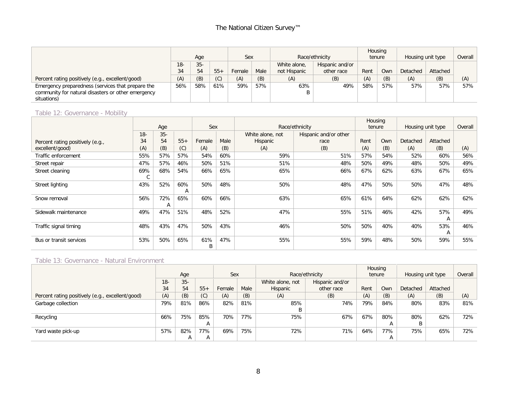# The National Citizen Survey™

|                                                    |        |        |       |        |      |              |                 |        | Housing |                   |          |         |
|----------------------------------------------------|--------|--------|-------|--------|------|--------------|-----------------|--------|---------|-------------------|----------|---------|
|                                                    |        | Age    |       |        | Sex  |              | Race/ethnicity  | tenure |         | Housing unit type |          | Overall |
|                                                    | $18 -$ | $35 -$ |       |        |      | White alone, | Hispanic and/or |        |         |                   |          |         |
|                                                    | 34     | 54     | $55+$ | Female | Male | not Hispanic | other race      | Rent   | Own     | Detached          | Attached |         |
| Percent rating positively (e.g., excellent/good)   | (A)    | (B)    | (C)   | (A)    | (B)  | (A)          | (B)             | (A)    | (B)     | (A)               | (B)      | (A)     |
| Emergency preparedness (services that prepare the  | 56%    | 58%    | 61%   | 59%    | 57%  | 63%          | 49%             | 58%    | 57%     | 57%               | 57%      | 57%     |
| community for natural disasters or other emergency |        |        |       |        |      | B            |                 |        |         |                   |          |         |
| situations)                                        |        |        |       |        |      |              |                 |        |         |                   |          |         |

# Table 12: Governance - Mobility

|                                  |          |          |          |          |      |                  |                       |      | Housing |                   |          |         |
|----------------------------------|----------|----------|----------|----------|------|------------------|-----------------------|------|---------|-------------------|----------|---------|
|                                  |          | Age      |          | Sex      |      |                  | Race/ethnicity        |      | tenure  | Housing unit type |          | Overall |
|                                  | $18 -$   | $35 -$   |          |          |      | White alone, not | Hispanic and/or other |      |         |                   |          |         |
| Percent rating positively (e.g., | 34       | 54       | $55+$    | Female   | Male | Hispanic         | race                  | Rent | Own     | Detached          | Attached |         |
| excellent/good)                  | (A)      | (B)      | (C)      | (A)      | (B)  | (A)              | (B)                   | (A)  | (B)     | (A)               | (B)      | (A)     |
| Traffic enforcement              | 55%      | 57%      | 57%      | 54%      | 60%  | 59%              | 51%                   | 57%  | 54%     | 52%               | 60%      | 56%     |
| Street repair                    | 47%      | 57%      | 46%      | 50%      | 51%  | 51%              | 48%                   | 50%  | 49%     | 48%               | 50%      | 49%     |
| Street cleaning                  | 69%<br>U | 68%      | 54%      | 66%      | 65%  | 65%              | 66%                   | 67%  | 62%     | 63%               | 67%      | 65%     |
| Street lighting                  | 43%      | 52%      | 60%<br>A | 50%      | 48%  | 50%              | 48%                   | 47%  | 50%     | 50%               | 47%      | 48%     |
| Snow removal                     | 56%      | 72%<br>A | 65%      | 60%      | 66%  | 63%              | 65%                   | 61%  | 64%     | 62%               | 62%      | 62%     |
| Sidewalk maintenance             | 49%      | 47%      | 51%      | 48%      | 52%  | 47%              | 55%                   | 51%  | 46%     | 42%               | 57%<br>A | 49%     |
| Traffic signal timing            | 48%      | 43%      | 47%      | 50%      | 43%  | 46%              | 50%                   | 50%  | 40%     | 40%               | 53%<br>А | 46%     |
| Bus or transit services          | 53%      | 50%      | 65%      | 61%<br>B | 47%  | 55%              | 55%                   | 59%  | 48%     | 50%               | 59%      | 55%     |

#### Table 13: Governance - Natural Environment

|                                                  |        |        |              |        |      |                  |                 |      | Housing |                   |          |         |
|--------------------------------------------------|--------|--------|--------------|--------|------|------------------|-----------------|------|---------|-------------------|----------|---------|
|                                                  |        | Age    |              | Sex    |      |                  | Race/ethnicity  |      | tenure  | Housing unit type |          | Overall |
|                                                  | $18 -$ | $35 -$ |              |        |      | White alone, not | Hispanic and/or |      |         |                   |          |         |
|                                                  | 34     | 54     | $55+$        | Female | Male | Hispanic         | other race      | Rent | Own     | Detached          | Attached |         |
| Percent rating positively (e.g., excellent/good) | (A)    | (B)    | (C)          | (A)    | (B)  | (A)              | (B)             | (A)  | (B)     | (A)               | (B)      | (A)     |
| Garbage collection                               | 79%    | 81%    | 86%          | 82%    | 81%  | 85%              | 74%             | 79%  | 84%     | 80%               | 83%      | 81%     |
|                                                  |        |        |              |        |      |                  |                 |      |         |                   |          |         |
| Recycling                                        | 66%    | 75%    | 85%          | 70%    | 77%  | 75%              | 67%             | 67%  | 80%     | 80%               | 62%      | 72%     |
|                                                  |        |        | $\mathsf{A}$ |        |      |                  |                 |      | A       |                   |          |         |
| Yard waste pick-up                               | 57%    | 82%    | 77%          | 69%    | 75%  | 72%              | 71%             | 64%  | 77%     | 75%               | 65%      | 72%     |
|                                                  |        | A      |              |        |      |                  |                 |      | A       |                   |          |         |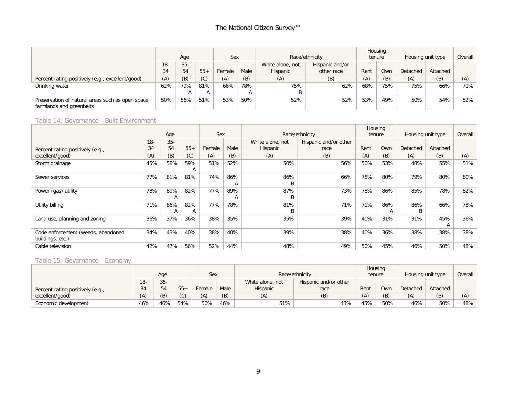# The National Citizen Survey™

|                                                                               |        |        |       |        |      |                  |                 |      | Housing |                   |          |         |
|-------------------------------------------------------------------------------|--------|--------|-------|--------|------|------------------|-----------------|------|---------|-------------------|----------|---------|
|                                                                               |        | Age    |       | Sex    |      |                  | Race/ethnicity  |      | tenure  | Housing unit type |          | Overall |
|                                                                               | $18 -$ | $35 -$ |       |        |      | White alone, not | Hispanic and/or |      |         |                   |          |         |
|                                                                               | 34     | 54     | $55+$ | Female | Male | Hispanic         | other race      | Rent | Own     | Detached          | Attached |         |
| Percent rating positively (e.g., excellent/good)                              | (A)    | (B)    | (C)   | (A)    | (B)  | (A)              | (B)             | (A)  | (B)     | (A)               | (B)      | (A)     |
| Drinking water                                                                | 62%    | 79%    | 81%   | 66%    | 78%  | 75%              | 62%             | 68%  | 75%     | 75%               | 66%      | 71%     |
|                                                                               |        | A      | A     |        |      |                  |                 |      |         |                   |          |         |
| Preservation of natural areas such as open space,<br>farmlands and greenbelts | 50%    | 56%    | 51%   | 53%    | 50%  | 52%              | 52%             | 53%  | 49%     | 50%               | 54%      | 52%     |

#### Table 14: Governance - Built Environment

|                                    |       |       |              |        |      |                  |                       |      | Housing |                   |          |         |
|------------------------------------|-------|-------|--------------|--------|------|------------------|-----------------------|------|---------|-------------------|----------|---------|
|                                    |       | Age   |              | Sex    |      |                  | Race/ethnicity        |      | tenure  | Housing unit type |          | Overall |
|                                    | $18-$ | $35-$ |              |        |      | White alone, not | Hispanic and/or other |      |         |                   |          |         |
| Percent rating positively (e.g.,   | 34    | 54    | $55+$        | Female | Male | Hispanic         | race                  | Rent | Own     | Detached          | Attached |         |
| excellent/good)                    | (A)   | (B)   | (C)          | (A)    | (B)  | (A)              | (B)                   | (A)  | (B)     | (A)               | (B)      | (A)     |
| Storm drainage                     | 45%   | 58%   | 59%          | 51%    | 52%  | 50%              | 56%                   | 50%  | 53%     | 48%               | 55%      | 51%     |
|                                    |       |       | A            |        |      |                  |                       |      |         |                   |          |         |
| Sewer services                     | 77%   | 81%   | 81%          | 74%    | 86%  | 86%              | 66%                   | 78%  | 80%     | 79%               | 80%      | 80%     |
|                                    |       |       |              |        | A    | B                |                       |      |         |                   |          |         |
| Power (gas) utility                | 78%   | 89%   | 82%          | 77%    | 89%  | 87%              | 73%                   | 78%  | 86%     | 85%               | 78%      | 82%     |
|                                    |       | A     |              |        | A    | B                |                       |      |         |                   |          |         |
| Utility billing                    | 71%   | 86%   | 82%          | 77%    | 78%  | 81%              | 71%                   | 71%  | 86%     | 86%               | 66%      | 78%     |
|                                    |       | A     | $\mathsf{A}$ |        |      | B                |                       |      | A       | В                 |          |         |
| Land use, planning and zoning      | 36%   | 37%   | 36%          | 38%    | 35%  | 35%              | 39%                   | 40%  | 31%     | 31%               | 45%      | 36%     |
|                                    |       |       |              |        |      |                  |                       |      |         |                   | А        |         |
| Code enforcement (weeds, abandoned | 34%   | 43%   | 40%          | 38%    | 40%  | 39%              | 38%                   | 40%  | 36%     | 38%               | 38%      | 38%     |
| buildings, etc.)                   |       |       |              |        |      |                  |                       |      |         |                   |          |         |
| Cable television                   | 42%   | 47%   | 56%          | 52%    | 44%  | 48%              | 49%                   | 50%  | 45%     | 46%               | 50%      | 48%     |

# Table 15: Governance - Economy

|                                  |        |       |       |        |      |                  |                |      | Housing |                   |          |         |
|----------------------------------|--------|-------|-------|--------|------|------------------|----------------|------|---------|-------------------|----------|---------|
|                                  |        | Age   |       |        | Sex  |                  | Race/ethnicity |      | tenure  | Housing unit type |          | Overall |
|                                  | $18 -$ | $35-$ |       |        |      | White alone, not |                |      |         |                   |          |         |
| Percent rating positively (e.g., | 34     | 54    | $55+$ | Female | Male | Hispanic         | race           | Rent | Own     | Detached          | Attached |         |
| excellent/good)                  | (A)    | (B)   | (C)   | (A)    | (B)  | (A)              | (B)            | (A)  | (B)     | (A)               | (B)      | (A)     |
| Economic development             | 46%    | 46%   | 54%   | 50%    | 46%  | 51%<br>43%       |                | 45%  | 50%     | 46%               | 50%      | 48%     |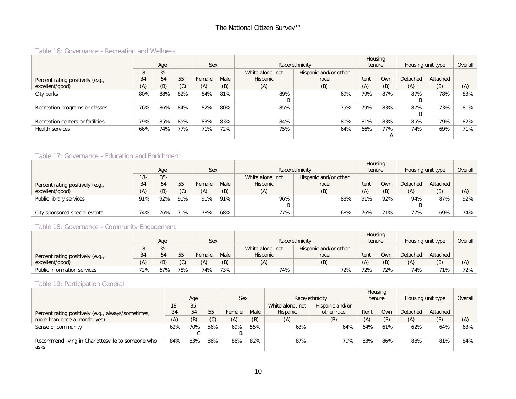#### Table 16: Governance - Recreation and Wellness

|                                  |        |       |       |        |      |                  |                       |        | Housing    |                   |          |         |
|----------------------------------|--------|-------|-------|--------|------|------------------|-----------------------|--------|------------|-------------------|----------|---------|
|                                  |        | Age   |       | Sex    |      |                  | Race/ethnicity        | tenure |            | Housing unit type |          | Overall |
|                                  | $18 -$ | $35-$ |       |        |      | White alone, not | Hispanic and/or other |        |            |                   |          |         |
| Percent rating positively (e.g., | 34     | 54    | $55+$ | Female | Male | Hispanic         | race                  | Rent   | <b>Own</b> | Detached          | Attached |         |
| excellent/good)                  | (A)    | (B)   | (C)   | (A)    | (B)  | (A)              | (B)                   | (A)    | (B)        | (A)               | (B)      | (A)     |
| City parks                       | 80%    | 88%   | 82%   | 84%    | 81%  | 89%              | 69%                   | 79%    | 87%        | 87%               | 78%      | 83%     |
|                                  |        |       |       |        |      | B                |                       |        |            |                   |          |         |
| Recreation programs or classes   | 76%    | 86%   | 84%   | 82%    | 80%  | 85%              | 75%                   | 79%    | 83%        | 87%               | 73%      | 81%     |
|                                  |        |       |       |        |      |                  |                       |        |            |                   |          |         |
| Recreation centers or facilities | 79%    | 85%   | 85%   | 83%    | 83%  | 84%              | 80%                   | 81%    | 83%        | 85%               | 79%      | 82%     |
| Health services                  | 66%    | 74%   | 77%   | 71%    | 72%  | 75%              | 64%                   | 66%    | 77%        | 74%               | 69%      | 71%     |
|                                  |        |       |       |        |      |                  |                       |        | A          |                   |          |         |

# Table 17: Governance - Education and Enrichment

|                                  |        |       |       |        |      |                                           |                |        | Housing |                   |          |         |
|----------------------------------|--------|-------|-------|--------|------|-------------------------------------------|----------------|--------|---------|-------------------|----------|---------|
|                                  |        | Age   |       | Sex    |      |                                           | Race/ethnicity | tenure |         | Housing unit type |          | Overall |
|                                  | $18 -$ | $35-$ |       |        |      | Hispanic and/or other<br>White alone, not |                |        |         |                   |          |         |
| Percent rating positively (e.g., | 34     | 54    | $55+$ | Female | Male | Hispanic                                  | race           | Rent   | Own     | Detached          | Attached |         |
| excellent/good)                  | (A)    | (B)   | (C)   | (A)    | (B)  | (A)                                       | (B)            | (A)    | (B)     | (A)               | (B)      | (A)     |
| Public library services          | 91%    | 92%   | 91%   | 91%    | 91%  | 96%                                       | 83%            | 91%    | 92%     | 94%               | 87%      | 92%     |
|                                  |        |       |       |        |      |                                           |                |        |         |                   |          |         |
| City-sponsored special events    | 74%    | 76%   | 71%   | 78%    | 68%  | 77%                                       | 68%            | 76%    | 71%     | 77%               | 69%      | 74%     |

#### Table 18: Governance - Community Engagement

|                                  |        |       |         |        |      |                  |                |      | Housing    |                   |          |         |
|----------------------------------|--------|-------|---------|--------|------|------------------|----------------|------|------------|-------------------|----------|---------|
|                                  |        | Age   |         | Sex    |      |                  | Race/ethnicity |      | tenure     | Housing unit type |          | Overall |
|                                  | $18 -$ | $35-$ |         |        |      | White alone, not |                |      |            |                   |          |         |
| Percent rating positively (e.g., | 34     | 54    | $55 -$  | Female | Male | <b>Hispanic</b>  | race           | Rent | <b>Own</b> | Detached          | Attached |         |
| excellent/good)                  | (A)    | (B)   | (<br>いい | (A)    | (B)  | (A)              | (B)            | (A)  | (B)        | (A)               | (B)      | (A)     |
| Public information services      | 72%    | 67%   | 78%     | 74%    | 73%  | 74%              | 72%            | 72%  | 72%        | 74%               | 71%      | 72%     |

#### Table 19: Participation General

|                                                    |        |       |       |        |      |                  |                 |        | Housing |                   |          |         |
|----------------------------------------------------|--------|-------|-------|--------|------|------------------|-----------------|--------|---------|-------------------|----------|---------|
|                                                    |        | Age   |       | Sex    |      |                  | Race/ethnicity  | tenure |         | Housing unit type |          | Overall |
|                                                    | $18 -$ | $35-$ |       |        |      | White alone, not | Hispanic and/or |        |         |                   |          |         |
| Percent rating positively (e.g., always/sometimes, | 34     | 54    | $55+$ | Female | Male | Hispanic         | other race      | Rent   | Own     | Detached          | Attached |         |
| more than once a month, yes)                       | (A)    | (B)   | (C)   | (A)    | (B)  | (A)              | (B)             | (A)    | (B)     | (A)               | (B)      | (A)     |
| Sense of community                                 | 62%    | 70%   | 56%   | 69%    | 55%  | 63%              | 64%             | 64%    | 61%     | 62%               | 64%      | 63%     |
|                                                    |        |       |       |        |      |                  |                 |        |         |                   |          |         |
| Recommend living in Charlottesville to someone who | 84%    | 83%   | 86%   | 86%    | 82%  | 87%              | 79%             | 83%    | 86%     | 88%               | 81%      | 84%     |
| asks                                               |        |       |       |        |      |                  |                 |        |         |                   |          |         |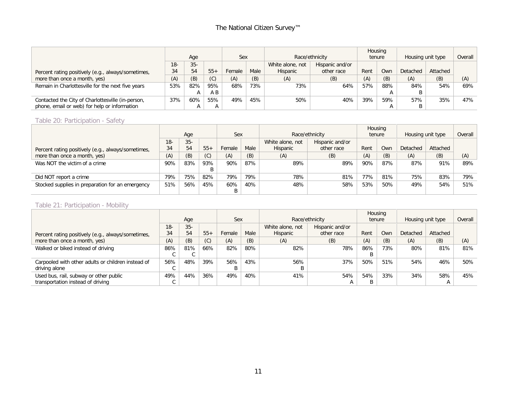|                                                    |        |        |       |        |      |                  |                 |      | Housing |                   |          |         |
|----------------------------------------------------|--------|--------|-------|--------|------|------------------|-----------------|------|---------|-------------------|----------|---------|
|                                                    |        | Age    |       | Sex    |      |                  | Race/ethnicity  |      | tenure  | Housing unit type |          | Overall |
|                                                    | $18 -$ | $35 -$ |       |        |      | White alone, not | Hispanic and/or |      |         |                   |          |         |
| Percent rating positively (e.g., always/sometimes, | 34     | 54     | $55+$ | Female | Male | Hispanic         | other race      | Rent | Own     | Detached          | Attached |         |
| more than once a month, yes)                       | (A)    | (B)    | (C)   | (A)    | (B)  | (A)              | (B)             | (A)  | (B)     | (A)               | (B)      | (A)     |
| Remain in Charlottesville for the next five years  | 53%    | 82%    | 95%   | 68%    | 73%  | 73%              | 64%             | 57%  | 88%     | 84%               | 54%      | 69%     |
|                                                    |        |        | A B   |        |      |                  |                 |      | A       |                   |          |         |
| Contacted the City of Charlottesville (in-person,  | 37%    | 60%    | 55%   | 49%    | 45%  | 50%              | 40%             | 39%  | 59%     | 57%               | 35%      | 47%     |
| phone, email or web) for help or information       |        |        |       |        |      |                  |                 |      | A       |                   |          |         |

#### Table 20: Participation - Safety

|                                                    |       |       |       |                |     |                  |                 |      | Housing |                   |          |         |
|----------------------------------------------------|-------|-------|-------|----------------|-----|------------------|-----------------|------|---------|-------------------|----------|---------|
|                                                    |       | Age   |       | Sex            |     |                  | Race/ethnicity  |      | tenure  | Housing unit type |          | Overall |
|                                                    | $18-$ | $35-$ |       |                |     | White alone, not | Hispanic and/or |      |         |                   |          |         |
| Percent rating positively (e.g., always/sometimes, | 34    | 54    | $55+$ | Male<br>Female |     | Hispanic         | other race      | Rent | Own     | Detached          | Attached |         |
| more than once a month, yes)                       | (A)   | (B)   | (C)   | (A)            | (B) | (A)              | (B)             | (A)  | (B)     | (A)               | (B)      | (A)     |
| Was NOT the victim of a crime                      | 90%   | 83%   | 93%   | 90%            | 87% | 89%              | 89%             | 90%  | 87%     | 87%               | 91%      | 89%     |
|                                                    |       |       | B     |                |     |                  |                 |      |         |                   |          |         |
| Did NOT report a crime                             | 79%   | 75%   | 82%   | 79%            | 79% | 78%              | 81%             | 77%  | 81%     | 75%               | 83%      | 79%     |
| Stocked supplies in preparation for an emergency   | 51%   | 56%   | 45%   | 40%<br>60%     |     | 48%              | 58%             | 53%  | 50%     | 49%               | 54%      | 51%     |
|                                                    |       |       |       | B              |     |                  |                 |      |         |                   |          |         |

# Table 21: Participation - Mobility

|                                                    |       |       |       |                |     |                  |                 | Housing |     |                   |          |         |
|----------------------------------------------------|-------|-------|-------|----------------|-----|------------------|-----------------|---------|-----|-------------------|----------|---------|
|                                                    |       | Age   |       | Sex            |     |                  | Race/ethnicity  | tenure  |     | Housing unit type |          | Overall |
|                                                    | $18-$ | $35-$ |       |                |     | White alone, not | Hispanic and/or |         |     |                   |          |         |
| Percent rating positively (e.g., always/sometimes, | 34    | 54    | $55+$ | Male<br>Female |     | Hispanic         | other race      | Rent    | Own | Detached          | Attached |         |
| more than once a month, yes)                       | (A)   | (B)   | (C)   | (A)            | (B) | (A)              | (B)             | (A)     | (B) | (A)               | (B)      | (A)     |
| Walked or biked instead of driving                 | 86%   | 81%   | 66%   | 82%            | 80% | 82%              | 78%             | 86%     | 73% | 80%               | 81%      | 81%     |
|                                                    |       |       |       |                |     |                  |                 |         |     |                   |          |         |
| Carpooled with other adults or children instead of | 56%   | 48%   | 39%   | 56%            | 43% | 56%              | 37%             | 50%     | 51% | 54%               | 46%      | 50%     |
| driving alone                                      |       |       |       | B              |     |                  |                 |         |     |                   |          |         |
| Used bus, rail, subway or other public             | 49%   | 44%   | 36%   | 49%            | 40% | 41%              | 54%             | 54%     | 33% | 34%               | 58%      | 45%     |
| transportation instead of driving                  |       |       |       |                |     |                  |                 |         |     |                   | A        |         |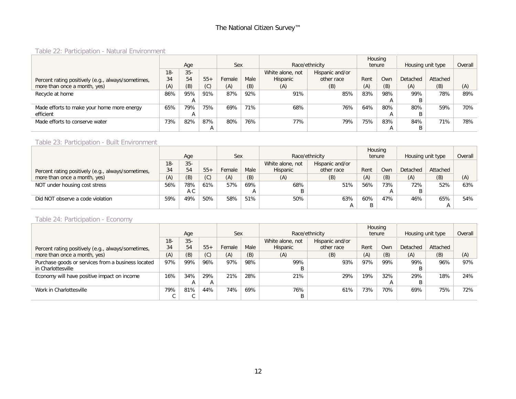# Table 22: Participation - Natural Environment

|                                                    |        |       |       |        |      |                  |                 | Housing |     |                   |          |         |
|----------------------------------------------------|--------|-------|-------|--------|------|------------------|-----------------|---------|-----|-------------------|----------|---------|
|                                                    |        | Age   |       | Sex    |      |                  | Race/ethnicity  | tenure  |     | Housing unit type |          | Overall |
|                                                    | $18 -$ | $35-$ |       |        |      | White alone, not | Hispanic and/or |         |     |                   |          |         |
| Percent rating positively (e.g., always/sometimes, | 34     | 54    | $55+$ | Female | Male | Hispanic         | other race      | Rent    | Own | Detached          | Attached |         |
| more than once a month, yes)                       | (A)    | (B)   | (C)   | (A)    | (B)  | (A)              | (B)             | (A)     | (B) | (A)               | (B)      | (A)     |
| Recycle at home                                    | 86%    | 95%   | 91%   | 87%    | 92%  | 91%              | 85%             | 83%     | 98% | 99%               | 78%      | 89%     |
|                                                    |        |       |       |        |      |                  |                 |         | A   |                   |          |         |
| Made efforts to make your home more energy         | 65%    | 79%   | 75%   | 69%    | 71%  | 68%              | 76%             | 64%     | 80% | 80%               | 59%      | 70%     |
| efficient                                          |        |       |       |        |      |                  |                 |         |     |                   |          |         |
| Made efforts to conserve water                     | 73%    | 82%   | 87%   | 80%    | 76%  | 77%              | 79%             | 75%     | 83% | 84%               | 71%      | 78%     |
|                                                    |        |       | A     |        |      |                  |                 |         | А   |                   |          |         |

#### Table 23: Participation - Built Environment

|                                                    |       |                          |       |                |     |                  |                 |        | Housing |                   |          |         |
|----------------------------------------------------|-------|--------------------------|-------|----------------|-----|------------------|-----------------|--------|---------|-------------------|----------|---------|
|                                                    |       | Age                      |       | Sex            |     |                  | Race/ethnicity  | tenure |         | Housing unit type |          | Overall |
|                                                    | $18-$ | $35-$                    |       |                |     | White alone, not | Hispanic and/or |        |         |                   |          |         |
| Percent rating positively (e.g., always/sometimes, | 34    | 54                       | $55+$ | Male<br>Female |     | Hispanic         | other race      | Rent   | Own     | Detached          | Attached |         |
| more than once a month, yes)                       | (A)   | (B)<br>(B)<br>(C)<br>(A) |       |                | (A) | (B)              | (A)             | (B)    | (A)     | (B)               | (A)      |         |
| NOT under housing cost stress                      | 56%   | 78%                      | 61%   | 57%            | 69% | 68%              | 51%             | 56%    | 73%     | 72%               | 52%      | 63%     |
|                                                    |       | A C                      |       |                |     |                  |                 |        | A       |                   |          |         |
| Did NOT observe a code violation                   | 59%   | 49%                      | 50%   | 58%            | 51% | 50%              | 63%             | 60%    | 47%     | 46%               | 65%      | 54%     |
|                                                    |       |                          |       |                |     |                  |                 |        |         |                   |          |         |

# Table 24: Participation - Economy

|                                                    |       |       |       |        |      |                  |                 |      | Housing |                   |          |         |
|----------------------------------------------------|-------|-------|-------|--------|------|------------------|-----------------|------|---------|-------------------|----------|---------|
|                                                    |       | Age   |       | Sex    |      |                  | Race/ethnicity  |      | tenure  | Housing unit type |          | Overall |
|                                                    | $18-$ | $35-$ |       |        |      | White alone, not | Hispanic and/or |      |         |                   |          |         |
| Percent rating positively (e.g., always/sometimes, | 34    | 54    | $55+$ | Female | Male | Hispanic         | other race      | Rent | Own     | Detached          | Attached |         |
| more than once a month, yes)                       | (A)   | (B)   | (C)   | (A)    | (B)  | (A)              | (B)             | (A)  | (B)     | (A)               | (B)      | (A)     |
| Purchase goods or services from a business located | 97%   | 99%   | 96%   | 97%    | 98%  | 99%              | 93%             | 97%  | 99%     | 99%               | 96%      | 97%     |
| in Charlottesville                                 |       |       |       |        |      | В                |                 |      |         |                   |          |         |
| Economy will have positive impact on income        | 16%   | 34%   | 29%   | 21%    | 28%  | 21%              | 29%             | 19%  | 32%     | 29%               | 18%      | 24%     |
|                                                    |       |       |       |        |      |                  |                 |      | A       | B                 |          |         |
| Work in Charlottesville                            | 79%   | 81%   | 44%   | 74%    | 69%  | 76%              | 61%             | 73%  | 70%     | 69%               | 75%      | 72%     |
|                                                    |       |       |       |        |      | В                |                 |      |         |                   |          |         |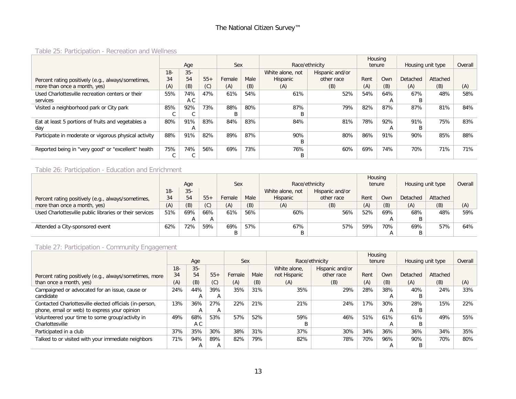# Table 25: Participation - Recreation and Wellness

|                                                       |       |       |       |        |      |                  |                 |      | Housing      |                   |          |         |
|-------------------------------------------------------|-------|-------|-------|--------|------|------------------|-----------------|------|--------------|-------------------|----------|---------|
|                                                       |       | Age   |       | Sex    |      |                  | Race/ethnicity  |      | tenure       | Housing unit type |          | Overall |
|                                                       | $18-$ | $35-$ |       |        |      | White alone, not | Hispanic and/or |      |              |                   |          |         |
| Percent rating positively (e.g., always/sometimes,    | 34    | 54    | $55+$ | Female | Male | Hispanic         | other race      | Rent | Own          | Detached          | Attached |         |
| more than once a month, yes)                          | (A)   | (B)   | (C)   | (A)    | (B)  | (A)              | (B)             | (A)  | (B)          | (A)               | (B)      | (A)     |
| Used Charlottesville recreation centers or their      | 55%   | 74%   | 47%   | 61%    | 54%  | 61%              | 52%             | 54%  | 64%          | 67%               | 48%      | 58%     |
| services                                              |       | A C   |       |        |      |                  |                 |      | А            |                   |          |         |
| Visited a neighborhood park or City park              | 85%   | 92%   | 73%   | 88%    | 80%  | 87%              | 79%             | 82%  | 87%          | 87%               | 81%      | 84%     |
|                                                       |       |       |       | B      |      | B                |                 |      |              |                   |          |         |
| Eat at least 5 portions of fruits and vegetables a    | 80%   | 91%   | 83%   | 84%    | 83%  | 84%              | 81%             | 78%  | 92%          | 91%               | 75%      | 83%     |
| day                                                   |       |       |       |        |      |                  |                 |      | $\mathsf{A}$ |                   |          |         |
| Participate in moderate or vigorous physical activity | 88%   | 91%   | 82%   | 89%    | 87%  | 90%              | 80%             | 86%  | 91%          | 90%               | 85%      | 88%     |
|                                                       |       |       |       |        |      | В                |                 |      |              |                   |          |         |
| Reported being in "very good" or "excellent" health   | 75%   | 74%   | 56%   | 69%    | 73%  | 76%              | 60%             | 69%  | 74%          | 70%               | 71%      | 71%     |
|                                                       |       |       |       |        |      | В                |                 |      |              |                   |          |         |

#### Table 26: Participation - Education and Enrichment

|                                                         |       |        |       |                |     |                  |                 |      | Housing |                   |          |         |
|---------------------------------------------------------|-------|--------|-------|----------------|-----|------------------|-----------------|------|---------|-------------------|----------|---------|
|                                                         |       | Age    |       | Sex            |     |                  | Race/ethnicity  |      | tenure  | Housing unit type |          | Overall |
|                                                         | $18-$ | $35 -$ |       |                |     | White alone, not | Hispanic and/or |      |         |                   |          |         |
| Percent rating positively (e.g., always/sometimes,      | 34    | 54     | $55+$ | Male<br>Female |     | Hispanic         | other race      | Rent | Own     | Detached          | Attached |         |
| more than once a month, yes)                            | (A)   | (B)    | (C)   | (A)            | (B) | (A)              | (B)             | (A)  | (B)     | (A)               | (B)      | (A)     |
| Used Charlottesville public libraries or their services | 51%   | 69%    | 66%   | 61%            | 56% | 60%              | 56%             | 52%  | 69%     | 68%               | 48%      | 59%     |
|                                                         |       |        |       |                |     |                  |                 |      | А       |                   |          |         |
| Attended a City-sponsored event                         | 62%   | 72%    | 59%   | 57%<br>69%     |     | 67%              | 57%             | 59%  | 70%     | 69%               | 57%      | 64%     |
|                                                         |       |        |       | B              |     | B                |                 |      |         |                   |          |         |

# Table 27: Participation - Community Engagement

|                                                         |       |        |       |        |      |              |                 |        | Housing |                   |          |         |
|---------------------------------------------------------|-------|--------|-------|--------|------|--------------|-----------------|--------|---------|-------------------|----------|---------|
|                                                         |       | Age    |       | Sex    |      |              | Race/ethnicity  | tenure |         | Housing unit type |          | Overall |
|                                                         | $18-$ | $35 -$ |       |        |      | White alone. | Hispanic and/or |        |         |                   |          |         |
| Percent rating positively (e.g., always/sometimes, more | 34    | 54     | $55+$ | Female | Male | not Hispanic | other race      | Rent   | Own     | Detached          | Attached |         |
| than once a month, yes)                                 | (A)   | (B)    | (C)   | (A)    | (B)  | (A)          | (B)             | (A)    | (B)     | (A)               | (B)      | (A)     |
| Campaigned or advocated for an issue, cause or          | 24%   | 44%    | 39%   | 35%    | 31%  | 35%          | 29%             | 28%    | 38%     | 40%               | 24%      | 33%     |
| candidate                                               |       | А      | A     |        |      |              |                 |        | А       | B.                |          |         |
| Contacted Charlottesville elected officials (in-person, | 13%   | 36%    | 27%   | 22%    | 21%  | 21%          | 24%             | 17%    | 30%     | 28%               | 15%      | 22%     |
| phone, email or web) to express your opinion            |       | А      | A     |        |      |              |                 |        | А       |                   |          |         |
| Volunteered your time to some group/activity in         | 49%   | 68%    | 53%   | 57%    | 52%  | 59%          | 46%             | 51%    | 61%     | 61%               | 49%      | 55%     |
| Charlottesville                                         |       | A C    |       |        |      |              |                 |        | А       | B                 |          |         |
| Participated in a club                                  | 37%   | 35%    | 30%   | 38%    | 31%  | 37%          | 30%             | 34%    | 36%     | 36%               | 34%      | 35%     |
| Talked to or visited with your immediate neighbors      | 71%   | 94%    | 89%   | 82%    | 79%  | 82%          | 78%             | 70%    | 96%     | 90%               | 70%      | 80%     |
|                                                         |       | А      | A     |        |      |              |                 |        | А       | B                 |          |         |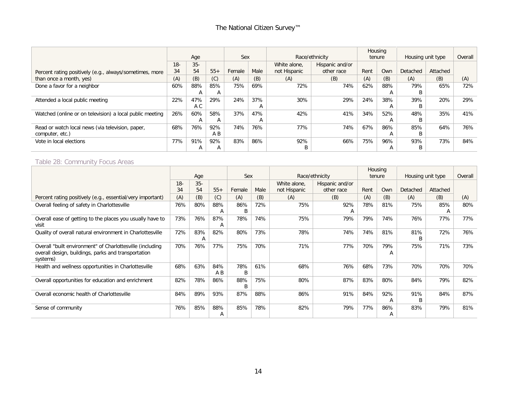|                                                          |        |              |       |        |      |              |                 | Housing |              |                   |          |         |
|----------------------------------------------------------|--------|--------------|-------|--------|------|--------------|-----------------|---------|--------------|-------------------|----------|---------|
|                                                          |        | Age          |       | Sex    |      |              | Race/ethnicity  | tenure  |              | Housing unit type |          | Overall |
|                                                          | $18 -$ | $35 -$       |       |        |      | White alone. | Hispanic and/or |         |              |                   |          |         |
| Percent rating positively (e.g., always/sometimes, more  | 34     | 54           | $55+$ | Female | Male | not Hispanic | other race      | Rent    | Own          | Detached          | Attached |         |
| than once a month, yes)                                  | (A)    | (B)          | (C)   | (A)    | (B)  | (A)          | (B)             | (A)     | (B)          | (A)               | (B)      | (A)     |
| Done a favor for a neighbor                              | 60%    | 88%          | 85%   | 75%    | 69%  | 72%          | 74%             | 62%     | 88%          | 79%               | 65%      | 72%     |
|                                                          |        | $\mathsf{A}$ | A     |        |      |              |                 |         | $\mathsf{A}$ |                   |          |         |
| Attended a local public meeting                          | 22%    | 47%          | 29%   | 24%    | 37%  | 30%          | 29%             | 24%     | 38%          | 39%               | 20%      | 29%     |
|                                                          |        | A C          |       |        | Α    |              |                 |         | $\mathsf{A}$ |                   |          |         |
| Watched (online or on television) a local public meeting | 26%    | 60%          | 58%   | 37%    | 47%  | 42%          | 41%             | 34%     | 52%          | 48%               | 35%      | 41%     |
|                                                          |        | $\mathsf{A}$ | A     |        | A    |              |                 |         | A            |                   |          |         |
| Read or watch local news (via television, paper,         | 68%    | 76%          | 92%   | 74%    | 76%  | 77%          | 74%             | 67%     | 86%          | 85%               | 64%      | 76%     |
| computer, etc.)                                          |        |              | A B   |        |      |              |                 |         | A            |                   |          |         |
| Vote in local elections                                  | 77%    | 91%          | 92%   | 83%    | 86%  | 92%          | 66%             | 75%     | 96%          | 93%               | 73%      | 84%     |
|                                                          |        | A            | A     |        |      |              |                 |         | A            | B                 |          |         |

#### Table 28: Community Focus Areas

|                                                                                                                              |        |          |            |          |      |              |                 |      | Housing  |                   |          |         |
|------------------------------------------------------------------------------------------------------------------------------|--------|----------|------------|----------|------|--------------|-----------------|------|----------|-------------------|----------|---------|
|                                                                                                                              |        | Age      |            | Sex      |      |              | Race/ethnicity  |      | tenure   | Housing unit type |          | Overall |
|                                                                                                                              | $18 -$ | $35 -$   |            |          |      | White alone, | Hispanic and/or |      |          |                   |          |         |
|                                                                                                                              | 34     | 54       | $55+$      | Female   | Male | not Hispanic | other race      | Rent | Own      | Detached          | Attached |         |
| Percent rating positively (e.g., essential/very important)                                                                   | (A)    | (B)      | (C)        | (A)      | (B)  | (A)          | (B)             | (A)  | (B)      | (A)               | (B)      | (A)     |
| Overall feeling of safety in Charlottesville                                                                                 | 76%    | 80%      | 88%        | 86%      | 72%  | 75%          | 92%             | 78%  | 81%      | 75%               | 85%      | 80%     |
|                                                                                                                              |        |          | А          | B        |      |              | A               |      |          |                   | A        |         |
| Overall ease of getting to the places you usually have to<br>visit                                                           | 73%    | 76%      | 87%<br>А   | 78%      | 74%  | 75%          | 79%             | 79%  | 74%      | 76%               | 77%      | 77%     |
| Quality of overall natural environment in Charlottesville                                                                    | 72%    | 83%<br>A | 82%        | 80%      | 73%  | 78%          | 74%             | 74%  | 81%      | 81%<br>B          | 72%      | 76%     |
| Overall "built environment" of Charlottesville (including<br>overall design, buildings, parks and transportation<br>systems) | 70%    | 76%      | 77%        | 75%      | 70%  | 71%          | 77%             | 70%  | 79%<br>A | 75%               | 71%      | 73%     |
| Health and wellness opportunities in Charlottesville                                                                         | 68%    | 63%      | 84%<br>A B | 78%<br>B | 61%  | 68%          | 76%             | 68%  | 73%      | 70%               | 70%      | 70%     |
| Overall opportunities for education and enrichment                                                                           | 82%    | 78%      | 86%        | 88%<br>B | 75%  | 80%          | 87%             | 83%  | 80%      | 84%               | 79%      | 82%     |
| Overall economic health of Charlottesville                                                                                   | 84%    | 89%      | 93%        | 87%      | 88%  | 86%          | 91%             | 84%  | 92%<br>А | 91%<br>B          | 84%      | 87%     |
| Sense of community                                                                                                           | 76%    | 85%      | 88%<br>A   | 85%      | 78%  | 82%          | 79%             | 77%  | 86%<br>A | 83%               | 79%      | 81%     |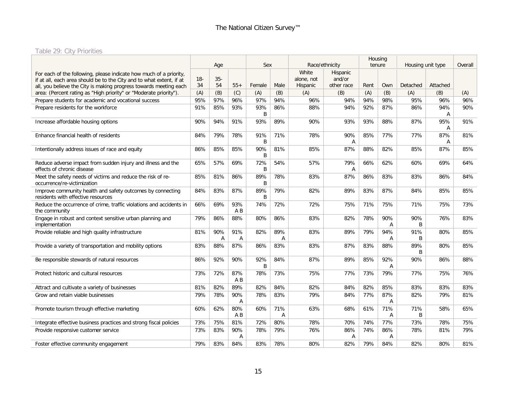# Table 29: City Priorities

<span id="page-15-0"></span>

|                                                                                                                                                                                                                 |              | Age          |                | Sex      |          |                                 | Race/ethnicity                   |      | Housing<br>tenure | Housing unit type |          | Overall |
|-----------------------------------------------------------------------------------------------------------------------------------------------------------------------------------------------------------------|--------------|--------------|----------------|----------|----------|---------------------------------|----------------------------------|------|-------------------|-------------------|----------|---------|
| For each of the following, please indicate how much of a priority,<br>if at all, each area should be to the City and to what extent, if at<br>all, you believe the City is making progress towards meeting each | $18 -$<br>34 | $35 -$<br>54 | $55+$          | Female   | Male     | White<br>alone, not<br>Hispanic | Hispanic<br>and/or<br>other race | Rent | Own               | Detached          | Attached |         |
| area: (Percent rating as "High priority" or "Moderate priority").                                                                                                                                               | (A)          | (B)          | (C)            | (A)      | (B)      | (A)                             | (B)                              | (A)  | (B)               | (A)               | (B)      | (A)     |
| Prepare students for academic and vocational success                                                                                                                                                            | 95%          | 97%          | 96%            | 97%      | 94%      | 96%                             | 94%                              | 94%  | 98%               | 95%               | 96%      | 96%     |
| Prepare residents for the workforce                                                                                                                                                                             | 91%          | 85%          | 93%            | 93%<br>B | 86%      | 88%                             | 94%                              | 92%  | 87%               | 86%               | 94%<br>A | 90%     |
| Increase affordable housing options                                                                                                                                                                             | 90%          | 94%          | 91%            | 93%      | 89%      | 90%                             | 93%                              | 93%  | 88%               | 87%               | 95%<br>Α | 91%     |
| Enhance financial health of residents                                                                                                                                                                           | 84%          | 79%          | 78%            | 91%<br>B | 71%      | 78%                             | 90%<br>A                         | 85%  | 77%               | 77%               | 87%<br>A | 81%     |
| Intentionally address issues of race and equity                                                                                                                                                                 | 86%          | 85%          | 85%            | 90%<br>B | 81%      | 85%                             | 87%                              | 88%  | 82%               | 85%               | 87%      | 85%     |
| Reduce adverse impact from sudden injury and illness and the<br>effects of chronic disease                                                                                                                      | 65%          | 57%          | 69%            | 72%<br>B | 54%      | 57%                             | 79%<br>Α                         | 66%  | 62%               | 60%               | 69%      | 64%     |
| Meet the safety needs of victims and reduce the risk of re-<br>occurrence/re-victimization                                                                                                                      | 85%          | 81%          | 86%            | 89%<br>B | 78%      | 83%                             | 87%                              | 86%  | 83%               | 83%               | 86%      | 84%     |
| Improve community health and safety outcomes by connecting<br>residents with effective resources                                                                                                                | 84%          | 83%          | 87%            | 89%<br>B | 79%      | 82%                             | 89%                              | 83%  | 87%               | 84%               | 85%      | 85%     |
| Reduce the occurrence of crime, traffic violations and accidents in<br>the community                                                                                                                            | 66%          | 69%          | 93%<br>A B     | 74%      | 72%      | 72%                             | 75%                              | 71%  | 75%               | 71%               | 75%      | 73%     |
| Engage in robust and context sensitive urban planning and<br>implementation                                                                                                                                     | 79%          | 86%          | 88%            | 80%      | 86%      | 83%                             | 82%                              | 78%  | 90%<br>Α          | 90%<br>B          | 76%      | 83%     |
| Provide reliable and high quality infrastructure                                                                                                                                                                | 81%          | 90%<br>Α     | 91%<br>Α       | 82%      | 89%<br>A | 83%                             | 89%                              | 79%  | 94%<br>A          | 91%<br>B          | 80%      | 85%     |
| Provide a variety of transportation and mobility options                                                                                                                                                        | 83%          | 88%          | 87%            | 86%      | 83%      | 83%                             | 87%                              | 83%  | 88%               | 89%<br>B          | 80%      | 85%     |
| Be responsible stewards of natural resources                                                                                                                                                                    | 86%          | 92%          | 90%            | 92%<br>B | 84%      | 87%                             | 89%                              | 85%  | 92%<br>Α          | 90%               | 86%      | 88%     |
| Protect historic and cultural resources                                                                                                                                                                         | 73%          | 72%          | 87%<br>$A$ $B$ | 78%      | 73%      | 75%                             | 77%                              | 73%  | 79%               | 77%               | 75%      | 76%     |
| Attract and cultivate a variety of businesses                                                                                                                                                                   | 81%          | 82%          | 89%            | 82%      | 84%      | 82%                             | 84%                              | 82%  | 85%               | 83%               | 83%      | 83%     |
| Grow and retain viable businesses                                                                                                                                                                               | 79%          | 78%          | 90%<br>Α       | 78%      | 83%      | 79%                             | 84%                              | 77%  | 87%<br>Α          | 82%               | 79%      | 81%     |
| Promote tourism through effective marketing                                                                                                                                                                     | 60%          | 62%          | 80%<br>A B     | 60%      | 71%<br>Α | 63%                             | 68%                              | 61%  | 71%<br>Α          | 71%<br>B          | 58%      | 65%     |
| Integrate effective business practices and strong fiscal policies                                                                                                                                               | 73%          | 75%          | 81%            | 72%      | 80%      | 78%                             | 70%                              | 74%  | 77%               | 73%               | 78%      | 75%     |
| Provide responsive customer service                                                                                                                                                                             | 73%          | 83%          | 90%<br>Α       | 78%      | 79%      | 76%                             | 86%<br>A                         | 74%  | 86%<br>Α          | 78%               | 81%      | 79%     |
| Foster effective community engagement                                                                                                                                                                           | 79%          | 83%          | 84%            | 83%      | 78%      | 80%                             | 82%                              | 79%  | 84%               | 82%               | 80%      | 81%     |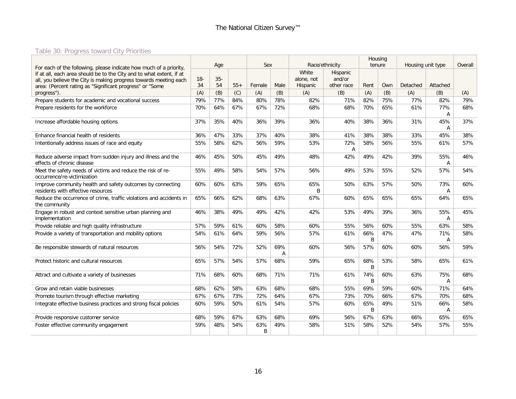# Table 30: Progress toward City Priorities

<span id="page-16-0"></span>

|                                                                                                                               |        |        |       |          |          |                     |                    |          | Housing |                   |                       |         |
|-------------------------------------------------------------------------------------------------------------------------------|--------|--------|-------|----------|----------|---------------------|--------------------|----------|---------|-------------------|-----------------------|---------|
| For each of the following, please indicate how much of a priority,                                                            |        | Age    |       | Sex      |          | Race/ethnicity      |                    |          | tenure  | Housing unit type |                       | Overall |
| if at all, each area should be to the City and to what extent, if at                                                          | $18 -$ | $35 -$ |       |          |          | White<br>alone, not | Hispanic<br>and/or |          |         |                   |                       |         |
| all, you believe the City is making progress towards meeting each<br>area: (Percent rating as "Significant progress" or "Some | 34     | 54     | $55+$ | Female   | Male     | Hispanic            | other race         | Rent     | Own     | Detached          | Attached              |         |
| progress").                                                                                                                   | (A)    | (B)    | (C)   | (A)      | (B)      | (A)                 | (B)                | (A)      | (B)     | (A)               | (B)                   | (A)     |
| Prepare students for academic and vocational success                                                                          | 79%    | 77%    | 84%   | 80%      | 78%      | 82%                 | 71%                | 82%      | 75%     | 77%               | 82%                   | 79%     |
| Prepare residents for the workforce                                                                                           | 70%    | 64%    | 67%   | 67%      | 72%      | 68%                 | 68%                | 70%      | 65%     | 61%               | 77%<br>A              | 68%     |
| Increase affordable housing options                                                                                           | 37%    | 35%    | 40%   | 36%      | 39%      | 36%                 | 40%                | 38%      | 36%     | 31%               | 45%<br>Α              | 37%     |
| Enhance financial health of residents                                                                                         | 36%    | 47%    | 33%   | 37%      | 40%      | 38%                 | 41%                | 38%      | 38%     | 33%               | 45%                   | 38%     |
| Intentionally address issues of race and equity                                                                               | 55%    | 58%    | 62%   | 56%      | 59%      | 53%                 | 72%<br>A           | 58%      | 56%     | 55%               | 61%                   | 57%     |
| Reduce adverse impact from sudden injury and illness and the<br>effects of chronic disease                                    | 46%    | 45%    | 50%   | 45%      | 49%      | 48%                 | 42%                | 49%      | 42%     | 39%               | 55%<br>$\overline{A}$ | 46%     |
| Meet the safety needs of victims and reduce the risk of re-<br>occurrence/re-victimization                                    | 55%    | 49%    | 58%   | 54%      | 57%      | 56%                 | 49%                | 53%      | 55%     | 52%               | 57%                   | 54%     |
| Improve community health and safety outcomes by connecting<br>residents with effective resources                              | 60%    | 60%    | 63%   | 59%      | 65%      | 65%<br>B            | 50%                | 63%      | 57%     | 50%               | 73%<br>A              | 60%     |
| Reduce the occurrence of crime, traffic violations and accidents in<br>the community                                          | 65%    | 66%    | 62%   | 68%      | 63%      | 67%                 | 60%                | 65%      | 65%     | 65%               | 64%                   | 65%     |
| Engage in robust and context sensitive urban planning and<br>implementation                                                   | 46%    | 38%    | 49%   | 49%      | 42%      | 42%                 | 53%                | 49%      | 39%     | 36%               | 55%<br>$\overline{A}$ | 45%     |
| Provide reliable and high quality infrastructure                                                                              | 57%    | 59%    | 61%   | 60%      | 58%      | 60%                 | 55%                | 56%      | 60%     | 55%               | 63%                   | 58%     |
| Provide a variety of transportation and mobility options                                                                      | 54%    | 61%    | 64%   | 59%      | 56%      | 57%                 | 61%                | 66%<br>B | 47%     | 47%               | 71%<br>A              | 58%     |
| Be responsible stewards of natural resources                                                                                  | 56%    | 54%    | 72%   | 52%      | 69%<br>Α | 60%                 | 56%                | 57%      | 60%     | 60%               | 56%                   | 59%     |
| Protect historic and cultural resources                                                                                       | 65%    | 57%    | 54%   | 57%      | 68%      | 59%                 | 65%                | 68%<br>B | 53%     | 58%               | 65%                   | 61%     |
| Attract and cultivate a variety of businesses                                                                                 | 71%    | 68%    | 60%   | 68%      | 71%      | 71%                 | 61%                | 74%<br>B | 60%     | 63%               | 75%<br>A              | 68%     |
| Grow and retain viable businesses                                                                                             | 68%    | 62%    | 58%   | 63%      | 68%      | 68%                 | 55%                | 69%      | 59%     | 60%               | 71%                   | 64%     |
| Promote tourism through effective marketing                                                                                   | 67%    | 67%    | 73%   | 72%      | 64%      | 67%                 | 73%                | 70%      | 66%     | 67%               | 70%                   | 68%     |
| Integrate effective business practices and strong fiscal policies                                                             | 60%    | 59%    | 50%   | 61%      | 54%      | 57%                 | 60%                | 65%<br>B | 49%     | 51%               | 66%<br>Α              | 58%     |
| Provide responsive customer service                                                                                           | 68%    | 59%    | 67%   | 63%      | 68%      | 69%                 | 56%                | 67%      | 63%     | 66%               | 65%                   | 65%     |
| Foster effective community engagement                                                                                         | 59%    | 48%    | 54%   | 63%<br>B | 49%      | 58%                 | 51%                | 58%      | 52%     | 54%               | 57%                   | 55%     |